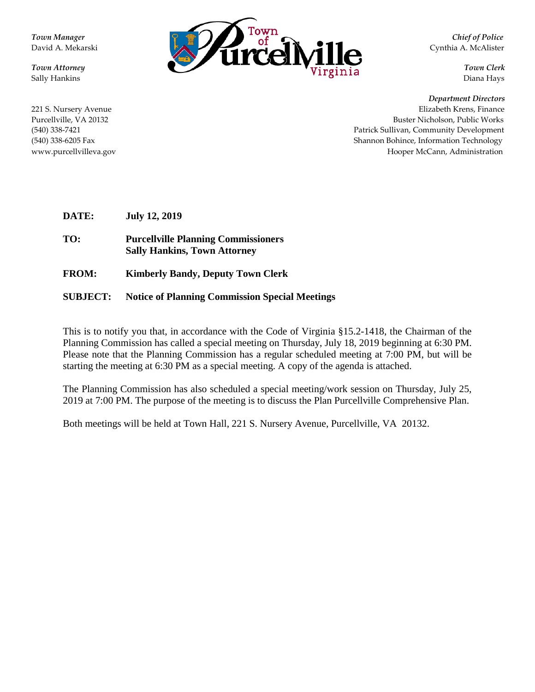**Town Manager Chief of Police Chief of Police Chief of Police** David A. Mekarski Cynthia A. McAlister *Town Attorney Town Clerk Town Clerk Town Clerk Town Clerk Town Clerk* Sally Hankins Diana Hays

*Department Directors*

221 S. Nursery Avenue Elizabeth Krens, Finance Purcellville, VA 20132 Buster Nicholson, Public Works (540) 338-7421 Patrick Sullivan, Community Development (540) 338-6205 FaxShannon Bohince, Information Technology www.purcellvilleva.govHooper McCann, Administration

**DATE: July 12, 2019**

**TO: Purcellville Planning Commissioners Sally Hankins, Town Attorney**

**FROM: Kimberly Bandy, Deputy Town Clerk**

#### **SUBJECT: Notice of Planning Commission Special Meetings**

This is to notify you that, in accordance with the Code of Virginia §15.2-1418, the Chairman of the Planning Commission has called a special meeting on Thursday, July 18, 2019 beginning at 6:30 PM. Please note that the Planning Commission has a regular scheduled meeting at 7:00 PM, but will be starting the meeting at 6:30 PM as a special meeting. A copy of the agenda is attached.

The Planning Commission has also scheduled a special meeting/work session on Thursday, July 25, 2019 at 7:00 PM. The purpose of the meeting is to discuss the Plan Purcellville Comprehensive Plan.

Both meetings will be held at Town Hall, 221 S. Nursery Avenue, Purcellville, VA 20132.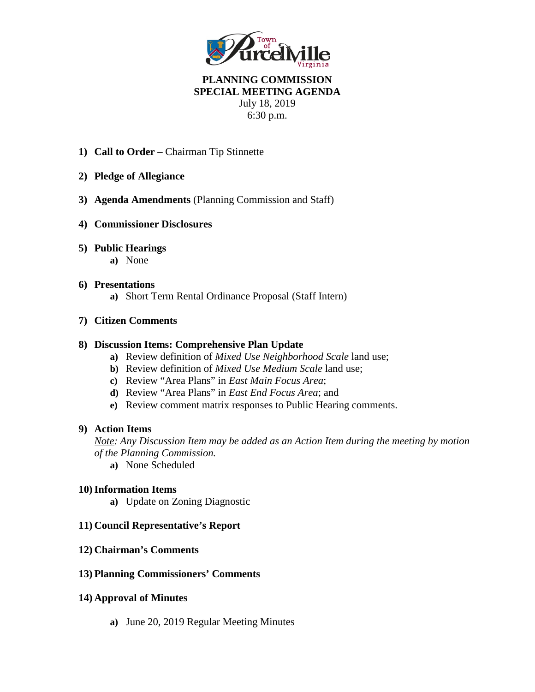

## **PLANNING COMMISSION SPECIAL MEETING AGENDA** July 18, 2019 6:30 p.m.

- **1) Call to Order**  Chairman Tip Stinnette
- **2) Pledge of Allegiance**
- **3) Agenda Amendments** (Planning Commission and Staff)
- **4) Commissioner Disclosures**
- **5) Public Hearings** 
	- **a)** None

#### **6) Presentations**

**a)** Short Term Rental Ordinance Proposal (Staff Intern)

### **7) Citizen Comments**

#### **8) Discussion Items: Comprehensive Plan Update**

- **a)** Review definition of *Mixed Use Neighborhood Scale* land use;
- **b)** Review definition of *Mixed Use Medium Scale* land use;
- **c)** Review "Area Plans" in *East Main Focus Area*;
- **d)** Review "Area Plans" in *East End Focus Area*; and
- **e)** Review comment matrix responses to Public Hearing comments.

#### **9) Action Items**

*Note: Any Discussion Item may be added as an Action Item during the meeting by motion of the Planning Commission.*

**a)** None Scheduled

#### **10)Information Items**

**a)** Update on Zoning Diagnostic

#### **11) Council Representative's Report**

#### **12) Chairman's Comments**

#### **13) Planning Commissioners' Comments**

#### **14) Approval of Minutes**

**a)** June 20, 2019 Regular Meeting Minutes